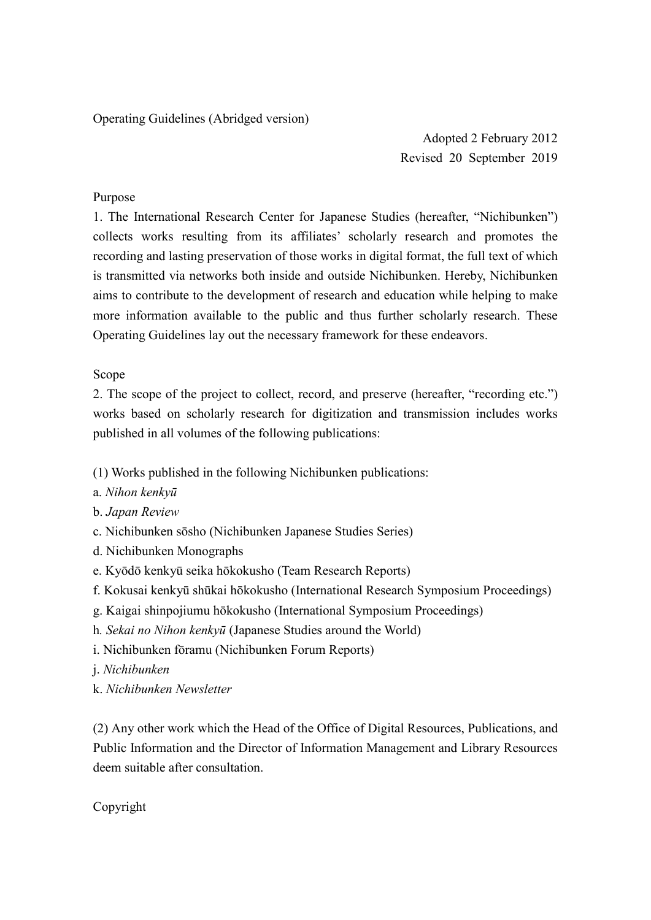Operating Guidelines (Abridged version)

Adopted 2 February 2012 Revised 20 September 2019

# Purpose

1. The International Research Center for Japanese Studies (hereafter, "Nichibunken") collects works resulting from its affiliates' scholarly research and promotes the recording and lasting preservation of those works in digital format, the full text of which is transmitted via networks both inside and outside Nichibunken. Hereby, Nichibunken aims to contribute to the development of research and education while helping to make more information available to the public and thus further scholarly research. These Operating Guidelines lay out the necessary framework for these endeavors.

## Scope

2. The scope of the project to collect, record, and preserve (hereafter, "recording etc.") works based on scholarly research for digitization and transmission includes works published in all volumes of the following publications:

- (1) Works published in the following Nichibunken publications:
- a. *Nihon kenkyū*
- b. *Japan Review*
- c. Nichibunken sōsho (Nichibunken Japanese Studies Series)
- d. Nichibunken Monographs
- e. Kyōdō kenkyū seika hōkokusho (Team Research Reports)
- f. Kokusai kenkyū shūkai hōkokusho (International Research Symposium Proceedings)
- g. Kaigai shinpojiumu hōkokusho (International Symposium Proceedings)
- h*. Sekai no Nihon kenkyū* (Japanese Studies around the World)
- i. Nichibunken fōramu (Nichibunken Forum Reports)
- j. *Nichibunken*
- k. *Nichibunken Newsletter*

(2) Any other work which the Head of the Office of Digital Resources, Publications, and Public Information and the Director of Information Management and Library Resources deem suitable after consultation.

Copyright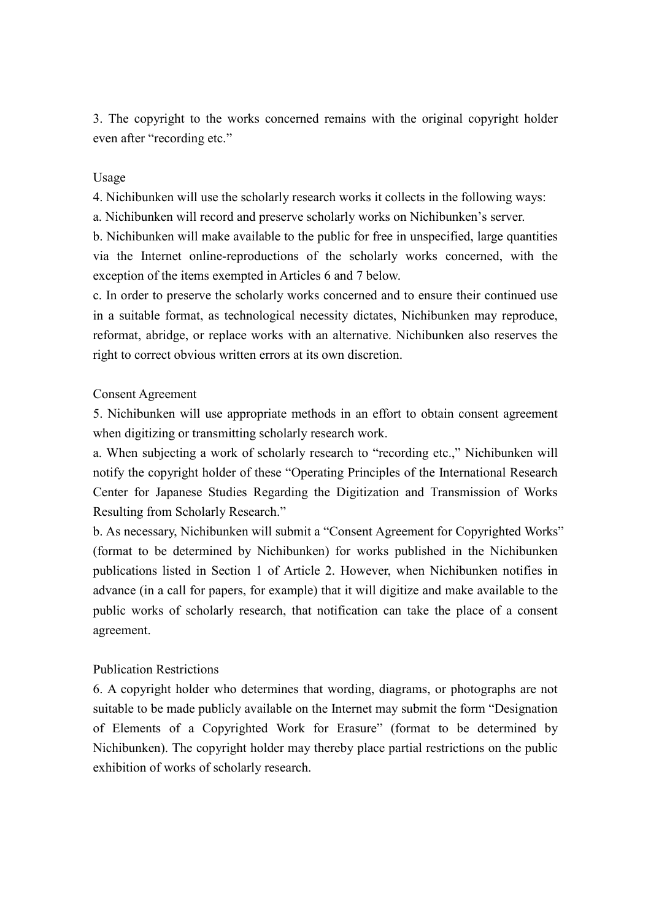3. The copyright to the works concerned remains with the original copyright holder even after "recording etc."

#### Usage

4. Nichibunken will use the scholarly research works it collects in the following ways:

a. Nichibunken will record and preserve scholarly works on Nichibunken's server.

b. Nichibunken will make available to the public for free in unspecified, large quantities via the Internet online-reproductions of the scholarly works concerned, with the exception of the items exempted in Articles 6 and 7 below.

c. In order to preserve the scholarly works concerned and to ensure their continued use in a suitable format, as technological necessity dictates, Nichibunken may reproduce, reformat, abridge, or replace works with an alternative. Nichibunken also reserves the right to correct obvious written errors at its own discretion.

#### Consent Agreement

5. Nichibunken will use appropriate methods in an effort to obtain consent agreement when digitizing or transmitting scholarly research work.

a. When subjecting a work of scholarly research to "recording etc.," Nichibunken will notify the copyright holder of these "Operating Principles of the International Research Center for Japanese Studies Regarding the Digitization and Transmission of Works Resulting from Scholarly Research."

b. As necessary, Nichibunken will submit a "Consent Agreement for Copyrighted Works" (format to be determined by Nichibunken) for works published in the Nichibunken publications listed in Section 1 of Article 2. However, when Nichibunken notifies in advance (in a call for papers, for example) that it will digitize and make available to the public works of scholarly research, that notification can take the place of a consent agreement.

## Publication Restrictions

6. A copyright holder who determines that wording, diagrams, or photographs are not suitable to be made publicly available on the Internet may submit the form "Designation of Elements of a Copyrighted Work for Erasure" (format to be determined by Nichibunken). The copyright holder may thereby place partial restrictions on the public exhibition of works of scholarly research.